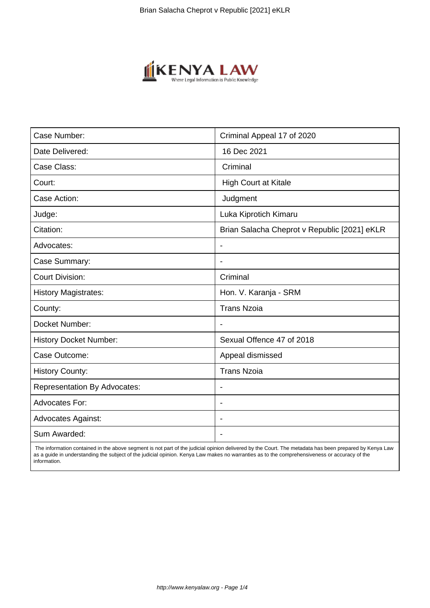

| Case Number:                        | Criminal Appeal 17 of 2020                   |
|-------------------------------------|----------------------------------------------|
| Date Delivered:                     | 16 Dec 2021                                  |
| Case Class:                         | Criminal                                     |
| Court:                              | <b>High Court at Kitale</b>                  |
| Case Action:                        | Judgment                                     |
| Judge:                              | Luka Kiprotich Kimaru                        |
| Citation:                           | Brian Salacha Cheprot v Republic [2021] eKLR |
| Advocates:                          | $\blacksquare$                               |
| Case Summary:                       |                                              |
| <b>Court Division:</b>              | Criminal                                     |
| <b>History Magistrates:</b>         | Hon. V. Karanja - SRM                        |
| County:                             | <b>Trans Nzoia</b>                           |
| Docket Number:                      |                                              |
| <b>History Docket Number:</b>       | Sexual Offence 47 of 2018                    |
| Case Outcome:                       | Appeal dismissed                             |
| <b>History County:</b>              | <b>Trans Nzoia</b>                           |
| <b>Representation By Advocates:</b> | $\blacksquare$                               |
| <b>Advocates For:</b>               | $\overline{\phantom{a}}$                     |
| <b>Advocates Against:</b>           |                                              |
| Sum Awarded:                        |                                              |

 The information contained in the above segment is not part of the judicial opinion delivered by the Court. The metadata has been prepared by Kenya Law as a guide in understanding the subject of the judicial opinion. Kenya Law makes no warranties as to the comprehensiveness or accuracy of the information.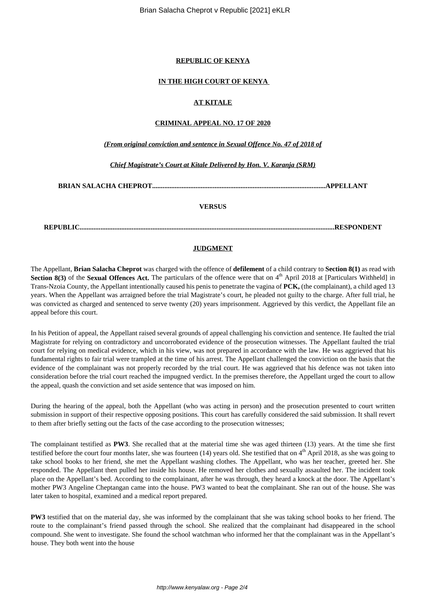#### **REPUBLIC OF KENYA**

### **IN THE HIGH COURT OF KENYA**

## **AT KITALE**

#### **CRIMINAL APPEAL NO. 17 OF 2020**

*(From original conviction and sentence in Sexual Offence No. 47 of 2018 of*

*Chief Magistrate's Court at Kitale Delivered by Hon. V. Karanja (SRM)*

**BRIAN SALACHA CHEPROT....................................................................................................APPELLANT**

### **VERSUS**

**REPUBLIC...................................................................................................................................................RESPONDENT**

### **JUDGMENT**

The Appellant, **Brian Salacha Cheprot** was charged with the offence of **defilement** of a child contrary to **Section 8(1)** as read with **Section 8(3)** of the **Sexual Offences Act.** The particulars of the offence were that on  $4<sup>th</sup>$  April 2018 at [Particulars Withheld] in Trans-Nzoia County, the Appellant intentionally caused his penis to penetrate the vagina of **PCK,** (the complainant), a child aged 13 years. When the Appellant was arraigned before the trial Magistrate's court, he pleaded not guilty to the charge. After full trial, he was convicted as charged and sentenced to serve twenty (20) years imprisonment. Aggrieved by this verdict, the Appellant file an appeal before this court.

In his Petition of appeal, the Appellant raised several grounds of appeal challenging his conviction and sentence. He faulted the trial Magistrate for relying on contradictory and uncorroborated evidence of the prosecution witnesses. The Appellant faulted the trial court for relying on medical evidence, which in his view, was not prepared in accordance with the law. He was aggrieved that his fundamental rights to fair trial were trampled at the time of his arrest. The Appellant challenged the conviction on the basis that the evidence of the complainant was not properly recorded by the trial court. He was aggrieved that his defence was not taken into consideration before the trial court reached the impugned verdict. In the premises therefore, the Appellant urged the court to allow the appeal, quash the conviction and set aside sentence that was imposed on him.

During the hearing of the appeal, both the Appellant (who was acting in person) and the prosecution presented to court written submission in support of their respective opposing positions. This court has carefully considered the said submission. It shall revert to them after briefly setting out the facts of the case according to the prosecution witnesses;

The complainant testified as **PW3**. She recalled that at the material time she was aged thirteen (13) years. At the time she first testified before the court four months later, she was fourteen  $(14)$  years old. She testified that on  $4<sup>th</sup>$  April 2018, as she was going to take school books to her friend, she met the Appellant washing clothes. The Appellant, who was her teacher, greeted her. She responded. The Appellant then pulled her inside his house. He removed her clothes and sexually assaulted her. The incident took place on the Appellant's bed. According to the complainant, after he was through, they heard a knock at the door. The Appellant's mother PW3 Angeline Cheptangan came into the house. PW3 wanted to beat the complainant. She ran out of the house. She was later taken to hospital, examined and a medical report prepared.

**PW3** testified that on the material day, she was informed by the complainant that she was taking school books to her friend. The route to the complainant's friend passed through the school. She realized that the complainant had disappeared in the school compound. She went to investigate. She found the school watchman who informed her that the complainant was in the Appellant's house. They both went into the house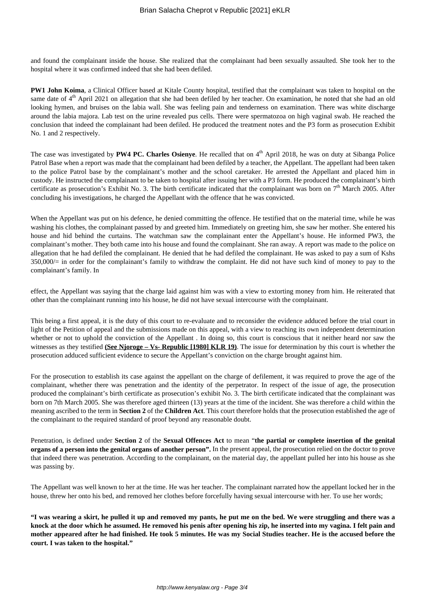and found the complainant inside the house. She realized that the complainant had been sexually assaulted. She took her to the hospital where it was confirmed indeed that she had been defiled.

**PW1 John Koima**, a Clinical Officer based at Kitale County hospital, testified that the complainant was taken to hospital on the same date of 4<sup>th</sup> April 2021 on allegation that she had been defiled by her teacher. On examination, he noted that she had an old looking hymen, and bruises on the labia wall. She was feeling pain and tenderness on examination. There was white discharge around the labia majora. Lab test on the urine revealed pus cells. There were spermatozoa on high vaginal swab. He reached the conclusion that indeed the complainant had been defiled. He produced the treatment notes and the P3 form as prosecution Exhibit No. 1 and 2 respectively.

The case was investigated by **PW4 PC. Charles Osienye**. He recalled that on 4<sup>th</sup> April 2018, he was on duty at Sibanga Police Patrol Base when a report was made that the complainant had been defiled by a teacher, the Appellant. The appellant had been taken to the police Patrol base by the complainant's mother and the school caretaker. He arrested the Appellant and placed him in custody. He instructed the complainant to be taken to hospital after issuing her with a P3 form. He produced the complainant's birth certificate as prosecution's Exhibit No. 3. The birth certificate indicated that the complainant was born on 7<sup>th</sup> March 2005. After concluding his investigations, he charged the Appellant with the offence that he was convicted.

When the Appellant was put on his defence, he denied committing the offence. He testified that on the material time, while he was washing his clothes, the complainant passed by and greeted him. Immediately on greeting him, she saw her mother. She entered his house and hid behind the curtains. The watchman saw the complainant enter the Appellant's house. He informed PW3, the complainant's mother. They both came into his house and found the complainant. She ran away. A report was made to the police on allegation that he had defiled the complainant. He denied that he had defiled the complainant. He was asked to pay a sum of Kshs 350,000/= in order for the complainant's family to withdraw the complaint. He did not have such kind of money to pay to the complainant's family. In

effect, the Appellant was saying that the charge laid against him was with a view to extorting money from him. He reiterated that other than the complainant running into his house, he did not have sexual intercourse with the complainant.

This being a first appeal, it is the duty of this court to re-evaluate and to reconsider the evidence adduced before the trial court in light of the Petition of appeal and the submissions made on this appeal, with a view to reaching its own independent determination whether or not to uphold the conviction of the Appellant. In doing so, this court is conscious that it neither heard nor saw the witnesses as they testified **(See Njoroge – Vs- Republic [1980] KLR 19)**. The issue for determination by this court is whether the prosecution adduced sufficient evidence to secure the Appellant's conviction on the charge brought against him.

For the prosecution to establish its case against the appellant on the charge of defilement, it was required to prove the age of the complainant, whether there was penetration and the identity of the perpetrator. In respect of the issue of age, the prosecution produced the complainant's birth certificate as prosecution's exhibit No. 3. The birth certificate indicated that the complainant was born on 7th March 2005. She was therefore aged thirteen (13) years at the time of the incident. She was therefore a child within the meaning ascribed to the term in **Section 2** of the **Children Act**. This court therefore holds that the prosecution established the age of the complainant to the required standard of proof beyond any reasonable doubt.

Penetration, is defined under **Section 2** of the **Sexual Offences Act** to mean "**the partial or complete insertion of the genital organs of a person into the genital organs of another person".** In the present appeal, the prosecution relied on the doctor to prove that indeed there was penetration. According to the complainant, on the material day, the appellant pulled her into his house as she was passing by.

The Appellant was well known to her at the time. He was her teacher. The complainant narrated how the appellant locked her in the house, threw her onto his bed, and removed her clothes before forcefully having sexual intercourse with her. To use her words;

**"I was wearing a skirt, he pulled it up and removed my pants, he put me on the bed. We were struggling and there was a knock at the door which he assumed. He removed his penis after opening his zip, he inserted into my vagina. I felt pain and mother appeared after he had finished. He took 5 minutes. He was my Social Studies teacher. He is the accused before the court. I was taken to the hospital."**